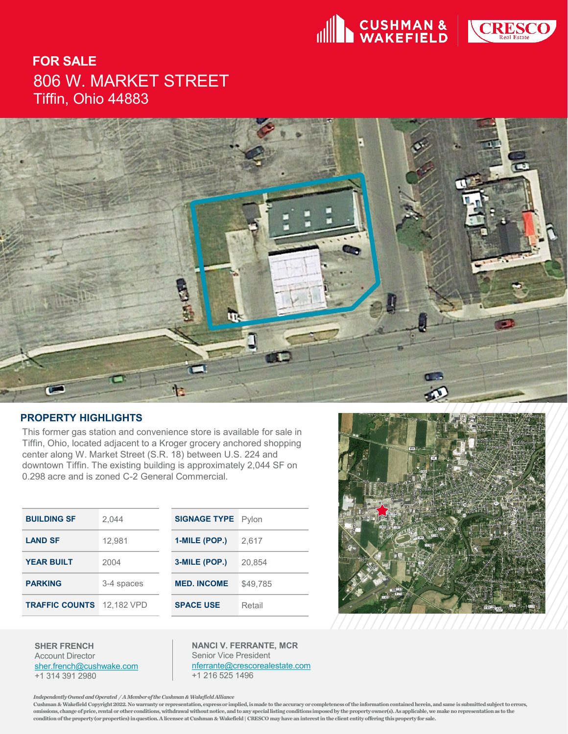



# **FOR SALE** 806 W. MARKET STREET Tiffin, Ohio 44883



#### **PROPERTY HIGHLIGHTS**

This former gas station and convenience store is available for sale in Tiffin, Ohio, located adjacent to a Kroger grocery anchored shopping center along W. Market Street (S.R. 18) between U.S. 224 and downtown Tiffin. The existing building is approximately 2,044 SF on 0.298 acre and is zoned C-2 General Commercial.

| <b>BUILDING SF</b>    | 2.044      | <b>SIGNAGE TYPE</b> Pylon |          |
|-----------------------|------------|---------------------------|----------|
| <b>LAND SF</b>        | 12,981     | 1-MILE (POP.)             | 2.617    |
| <b>YEAR BUILT</b>     | 2004       | 3-MILE (POP.)             | 20,854   |
| <b>PARKING</b>        | 3-4 spaces | <b>MED. INCOME</b>        | \$49.785 |
| <b>TRAFFIC COUNTS</b> | 12.182 VPD | <b>SPACE USE</b>          | Retail   |



**SHER FRENCH** Account Director [sher.french@cushwake.com](mailto:sher.french@cushwake.com) +1 314 391 2980

**NANCI V. FERRANTE, MCR** Senior Vice President [nferrante@crescorealestate.com](mailto:nferrante@crescorealestate.com) +1 216 525 1496

*Independently Owned and Operated / A Member of the Cushman & Wakefield Alliance* 

**Cushman & Wakefield Copyright 2022. No warranty or representation, express or implied, is made to the accuracy or completeness of the information contained herein, and same is submitted subject to errors, omissions, change of price, rental or other conditions, withdrawal without notice, and to any special listing conditions imposedby the property owner(s). As applicable, we make no representation as to the condition of the property (or properties) in question. A licensee at Cushman & Wakefield | CRESCO may have an interest in theclient entity offering this property for sale.**